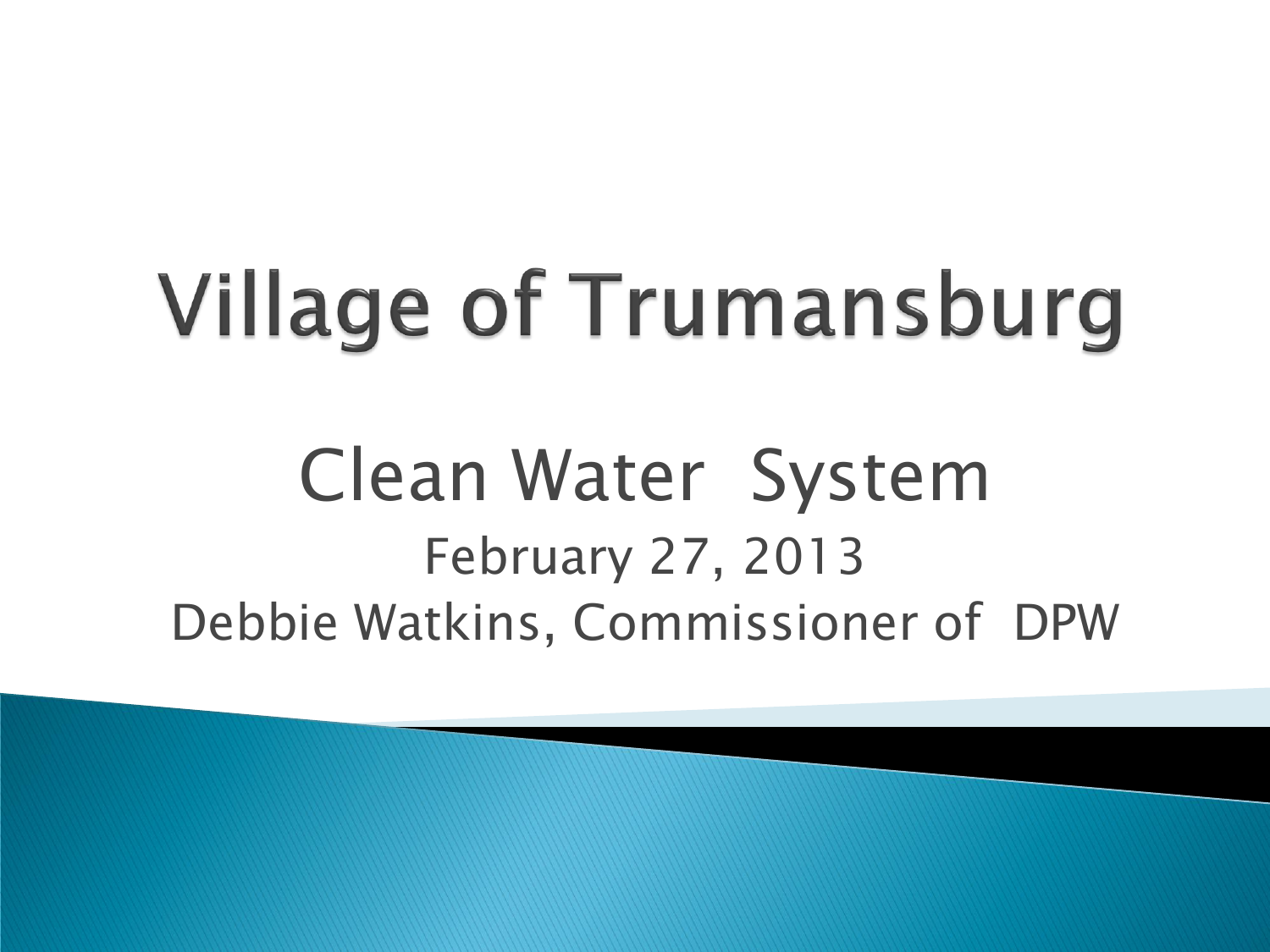# **Village of Trumansburg**

### Clean Water System February 27, 2013 Debbie Watkins, Commissioner of DPW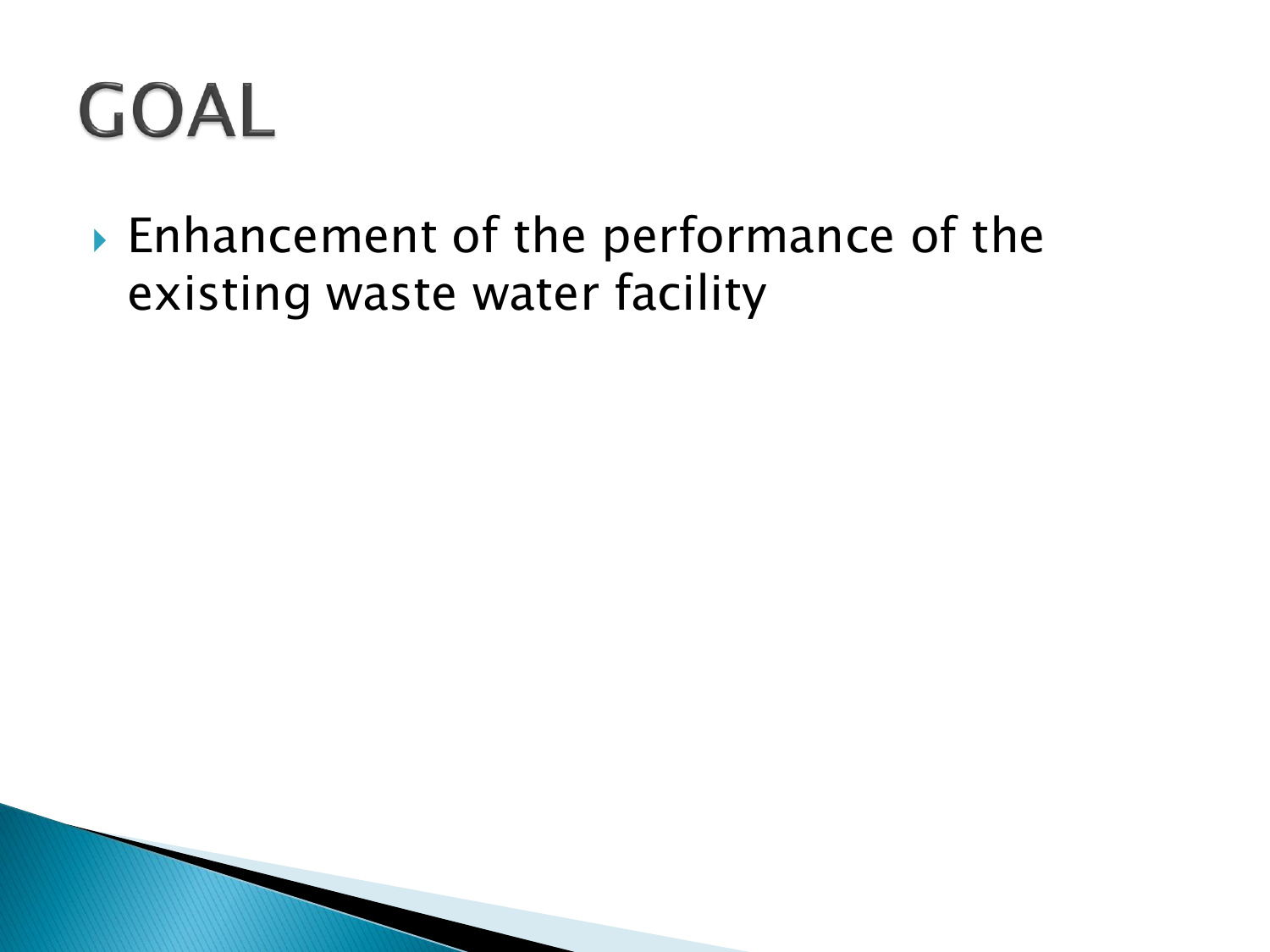### **GOAL**

▶ Enhancement of the performance of the existing waste water facility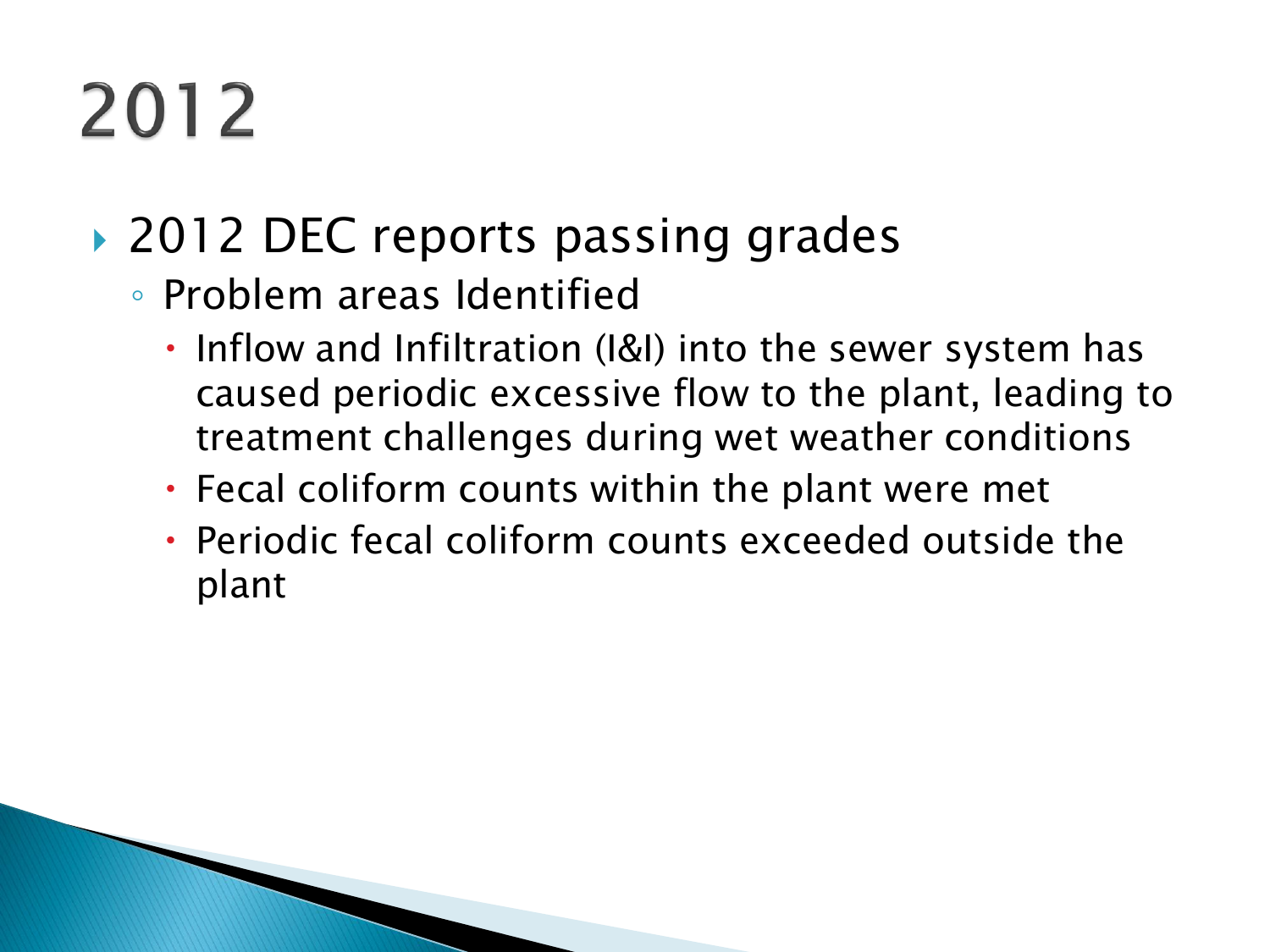## 2012

#### ▶ 2012 DEC reports passing grades

- Problem areas Identified
	- Inflow and Infiltration (I&I) into the sewer system has caused periodic excessive flow to the plant, leading to treatment challenges during wet weather conditions
	- Fecal coliform counts within the plant were met
	- Periodic fecal coliform counts exceeded outside the plant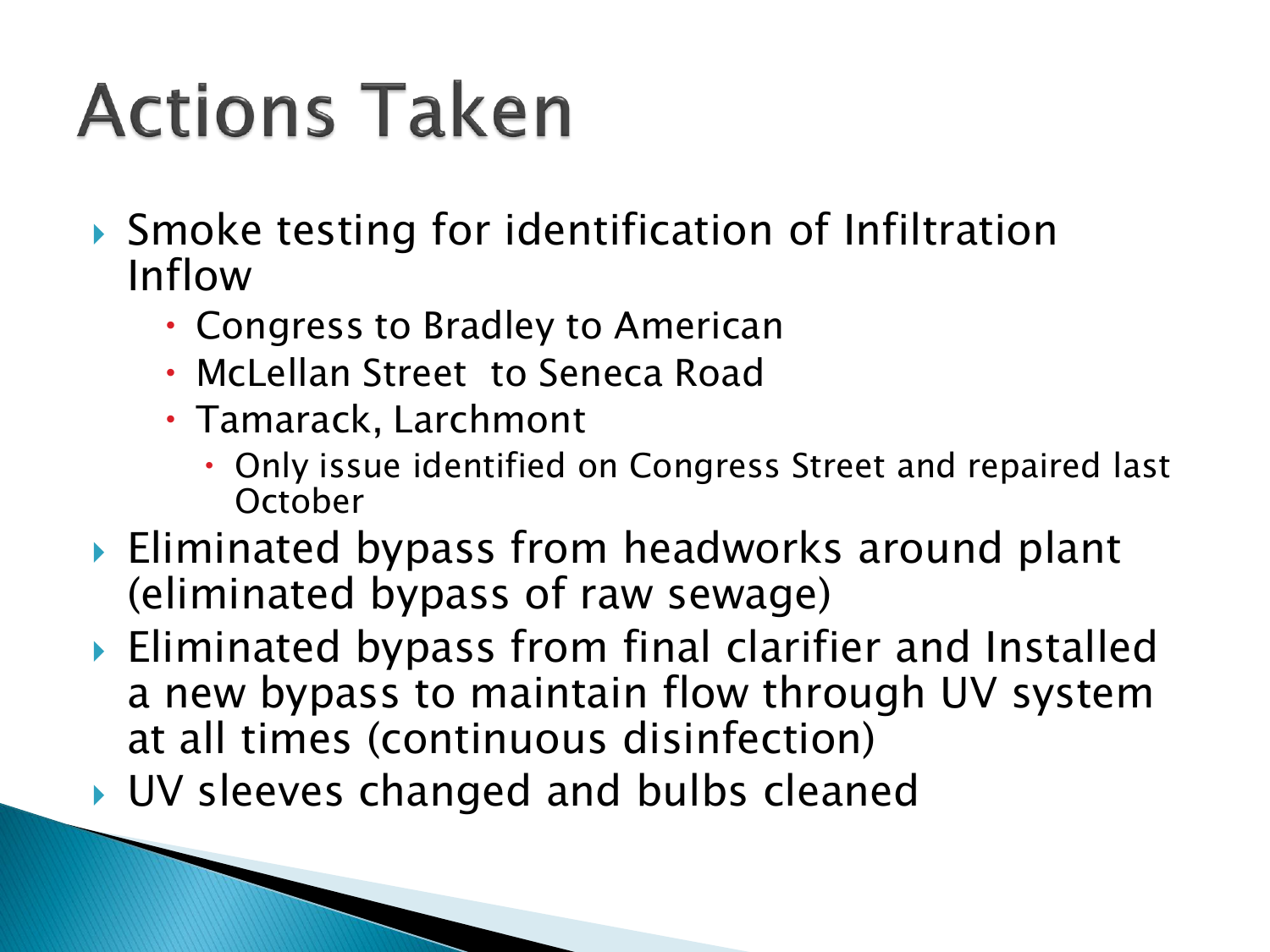### **Actions Taken**

- ▶ Smoke testing for identification of Infiltration Inflow
	- Congress to Bradley to American
	- McLellan Street to Seneca Road
	- Tamarack, Larchmont
		- Only issue identified on Congress Street and repaired last **October**
- ▶ Eliminated bypass from headworks around plant (eliminated bypass of raw sewage)
- Eliminated bypass from final clarifier and Installed a new bypass to maintain flow through UV system at all times (continuous disinfection)
- ▶ UV sleeves changed and bulbs cleaned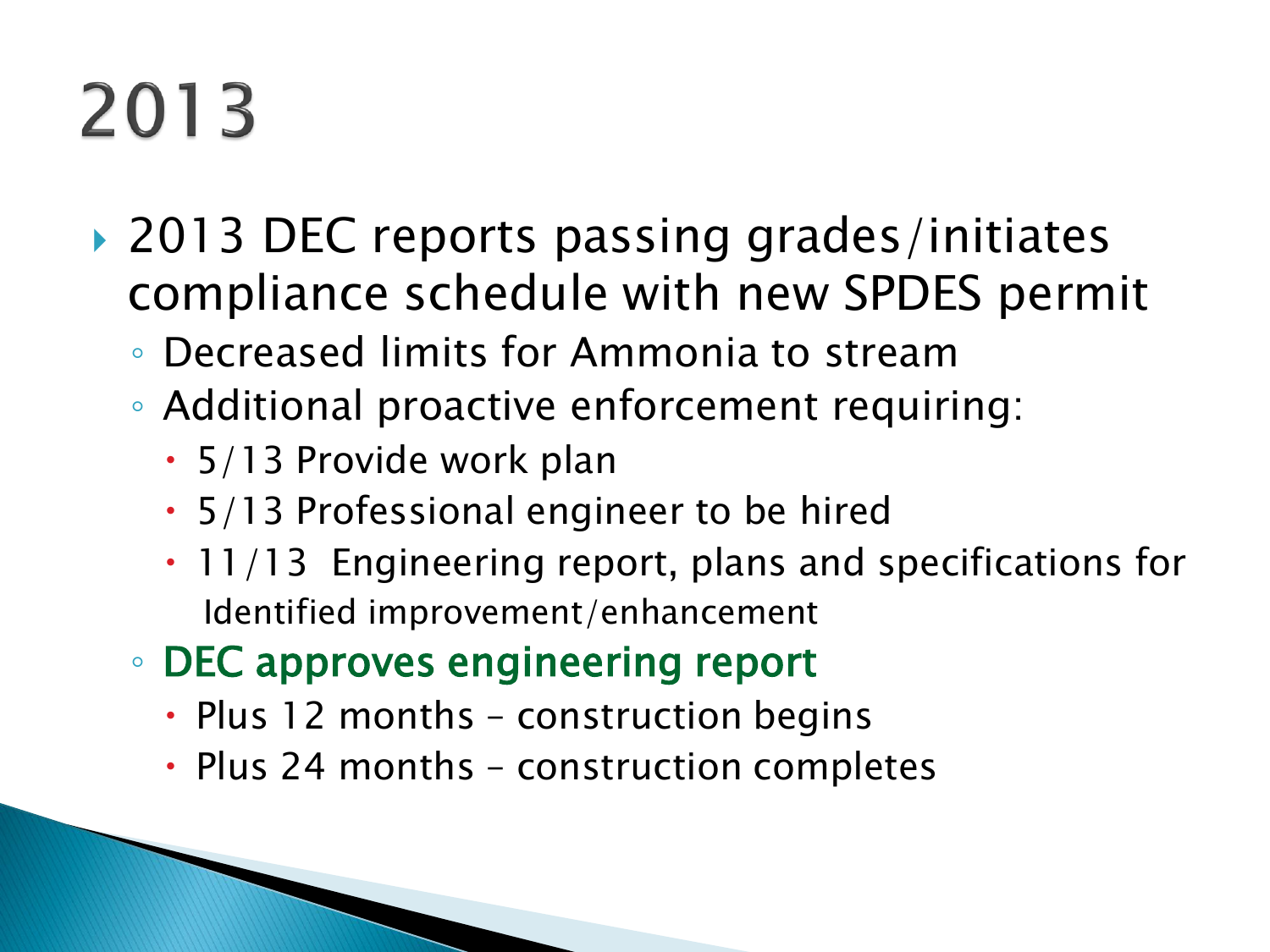### 2013

- ▶ 2013 DEC reports passing grades/initiates compliance schedule with new SPDES permit
	- Decreased limits for Ammonia to stream
	- Additional proactive enforcement requiring:
		- 5/13 Provide work plan
		- 5/13 Professional engineer to be hired
		- $\cdot$  11/13 Engineering report, plans and specifications for Identified improvement/enhancement
	- DEC approves engineering report
		- Plus 12 months construction begins
		- Plus 24 months construction completes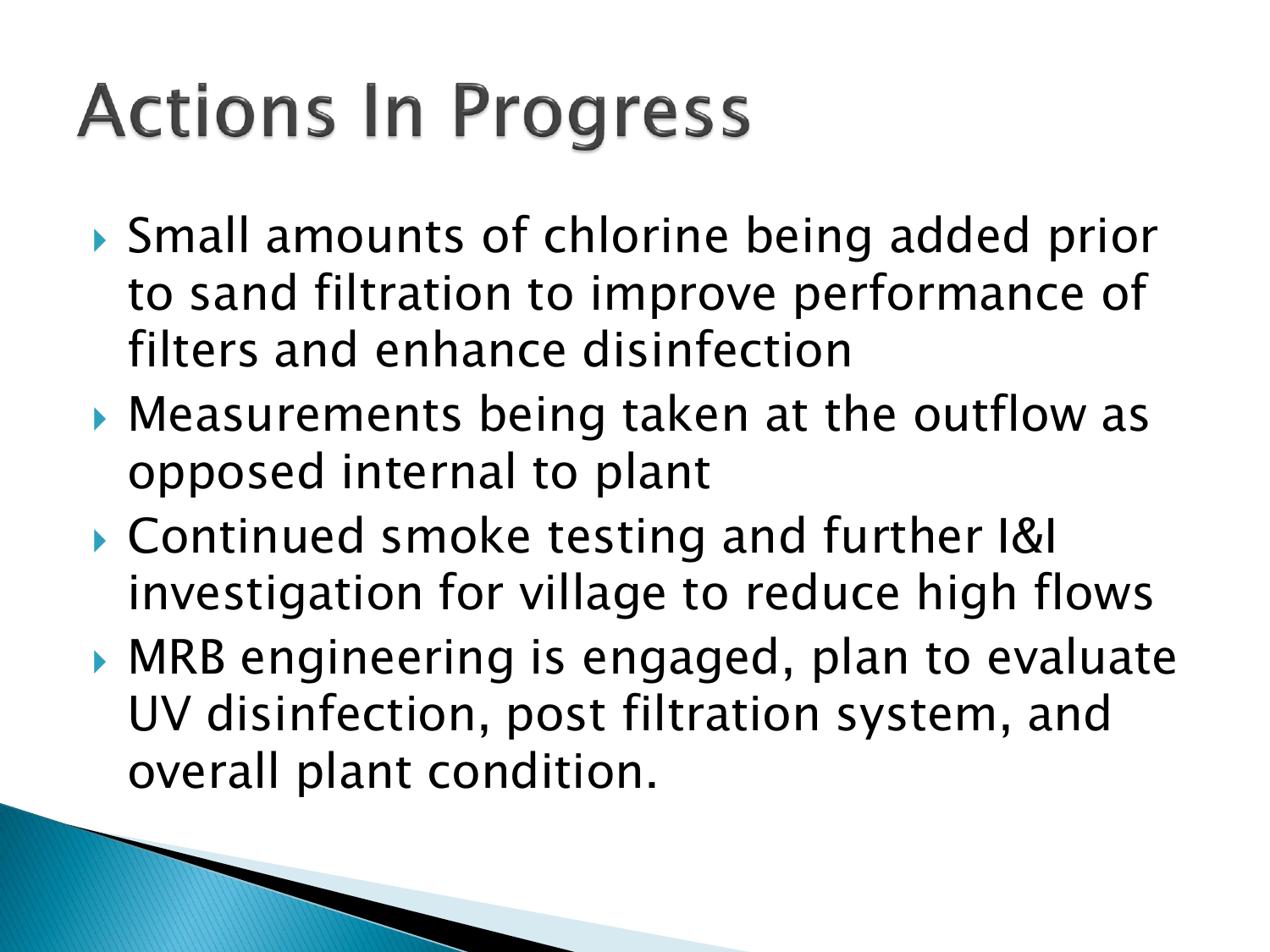### **Actions In Progress**

- ▶ Small amounts of chlorine being added prior to sand filtration to improve performance of filters and enhance disinfection
- Measurements being taken at the outflow as opposed internal to plant
- Continued smoke testing and further I&I investigation for village to reduce high flows
- ▶ MRB engineering is engaged, plan to evaluate UV disinfection, post filtration system, and overall plant condition.